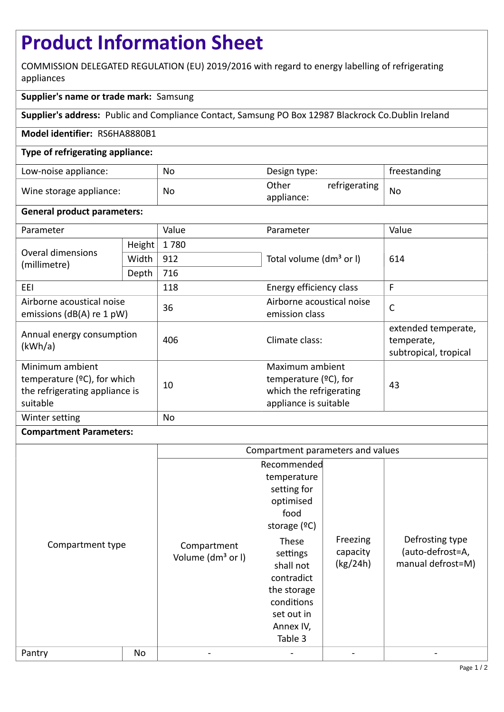# **Product Information Sheet**

COMMISSION DELEGATED REGULATION (EU) 2019/2016 with regard to energy labelling of refrigerating appliances

## **Supplier's name or trade mark:** Samsung

**Supplier's address:** Public and Compliance Contact, Samsung PO Box 12987 Blackrock Co.Dublin Ireland

### **Model identifier:** RS6HA8880B1

### **Type of refrigerating appliance:**

| Low-noise appliance:    | No | Design type:                         | freestanding |
|-------------------------|----|--------------------------------------|--------------|
| Wine storage appliance: | No | Other<br>refrigerating<br>appliance: | No           |

### **General product parameters:**

| Parameter                                                                                    |                                | Value | Parameter                                                                                       | Value                                                      |
|----------------------------------------------------------------------------------------------|--------------------------------|-------|-------------------------------------------------------------------------------------------------|------------------------------------------------------------|
| Overal dimensions<br>(millimetre)                                                            | Height                         | 1780  |                                                                                                 | 614                                                        |
|                                                                                              | Width                          | 912   | Total volume (dm <sup>3</sup> or I)                                                             |                                                            |
|                                                                                              | Depth                          | 716   |                                                                                                 |                                                            |
| EEI                                                                                          | 118<br>Energy efficiency class |       |                                                                                                 | F                                                          |
| Airborne acoustical noise<br>emissions ( $dB(A)$ re 1 pW)                                    |                                | 36    | Airborne acoustical noise<br>emission class                                                     | $\mathsf{C}$                                               |
| Annual energy consumption<br>(kWh/a)                                                         |                                | 406   | Climate class:                                                                                  | extended temperate,<br>temperate,<br>subtropical, tropical |
| Minimum ambient<br>temperature (°C), for which<br>the refrigerating appliance is<br>suitable |                                | 10    | Maximum ambient<br>temperature $(2C)$ , for<br>which the refrigerating<br>appliance is suitable | 43                                                         |
| Winter setting                                                                               |                                | No    |                                                                                                 |                                                            |

### **Compartment Parameters:**

|                  |    | Compartment parameters and values            |                                                                                                                                  |                                  |                                                          |
|------------------|----|----------------------------------------------|----------------------------------------------------------------------------------------------------------------------------------|----------------------------------|----------------------------------------------------------|
| Compartment type |    | Compartment<br>Volume (dm <sup>3</sup> or I) | Recommended<br>temperature<br>setting for<br>optimised<br>food<br>storage $(°C)$<br>These<br>settings<br>shall not<br>contradict | Freezing<br>capacity<br>(kg/24h) | Defrosting type<br>(auto-defrost=A,<br>manual defrost=M) |
|                  |    |                                              | the storage<br>conditions<br>set out in<br>Annex IV,<br>Table 3                                                                  |                                  |                                                          |
| Pantry           | No |                                              |                                                                                                                                  |                                  |                                                          |